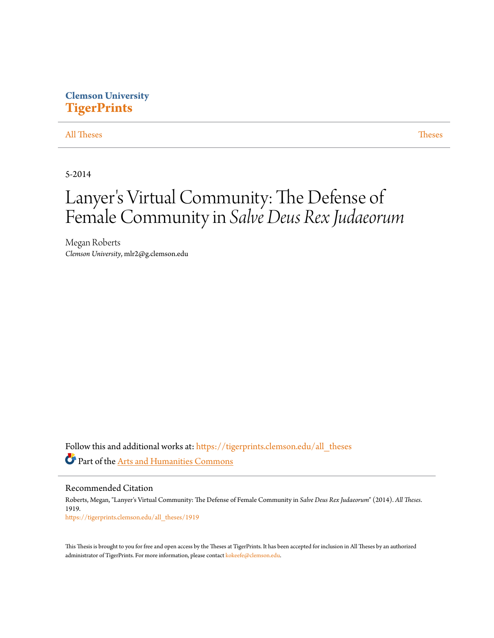# **Clemson University [TigerPrints](https://tigerprints.clemson.edu?utm_source=tigerprints.clemson.edu%2Fall_theses%2F1919&utm_medium=PDF&utm_campaign=PDFCoverPages)**

# [All Theses](https://tigerprints.clemson.edu/all_theses?utm_source=tigerprints.clemson.edu%2Fall_theses%2F1919&utm_medium=PDF&utm_campaign=PDFCoverPages) **[Theses](https://tigerprints.clemson.edu/theses?utm_source=tigerprints.clemson.edu%2Fall_theses%2F1919&utm_medium=PDF&utm_campaign=PDFCoverPages)**

5-2014

# Lanyer 's Virtual Community: The Defense of Female Community in *Salve Deus Rex Judaeorum*

Megan Roberts *Clemson University*, mlr2@g.clemson.edu

Follow this and additional works at: [https://tigerprints.clemson.edu/all\\_theses](https://tigerprints.clemson.edu/all_theses?utm_source=tigerprints.clemson.edu%2Fall_theses%2F1919&utm_medium=PDF&utm_campaign=PDFCoverPages) Part of the [Arts and Humanities Commons](http://network.bepress.com/hgg/discipline/438?utm_source=tigerprints.clemson.edu%2Fall_theses%2F1919&utm_medium=PDF&utm_campaign=PDFCoverPages)

Recommended Citation Roberts, Megan, "Lanyer's Virtual Community: The Defense of Female Community in *Salve Deus Rex Judaeorum*" (2014). *All Theses*. 1919.

[https://tigerprints.clemson.edu/all\\_theses/1919](https://tigerprints.clemson.edu/all_theses/1919?utm_source=tigerprints.clemson.edu%2Fall_theses%2F1919&utm_medium=PDF&utm_campaign=PDFCoverPages)

This Thesis is brought to you for free and open access by the Theses at TigerPrints. It has been accepted for inclusion in All Theses by an authorized administrator of TigerPrints. For more information, please contact [kokeefe@clemson.edu](mailto:kokeefe@clemson.edu).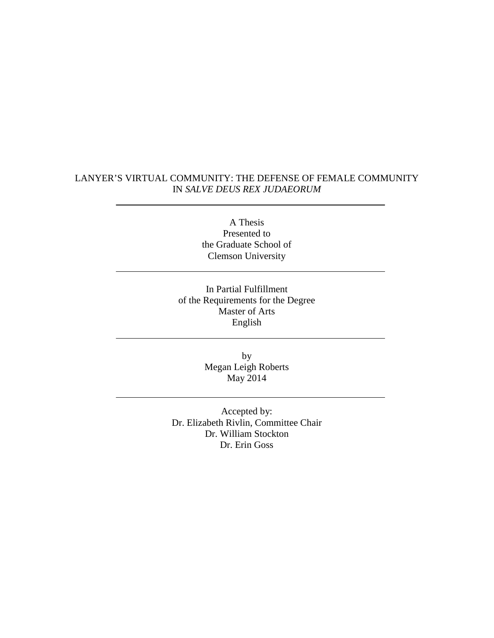# LANYER'S VIRTUAL COMMUNITY: THE DEFENSE OF FEMALE COMMUNITY IN *SALVE DEUS REX JUDAEORUM*

A Thesis Presented to the Graduate School of Clemson University

In Partial Fulfillment of the Requirements for the Degree Master of Arts English

> by Megan Leigh Roberts May 2014

Accepted by: Dr. Elizabeth Rivlin, Committee Chair Dr. William Stockton Dr. Erin Goss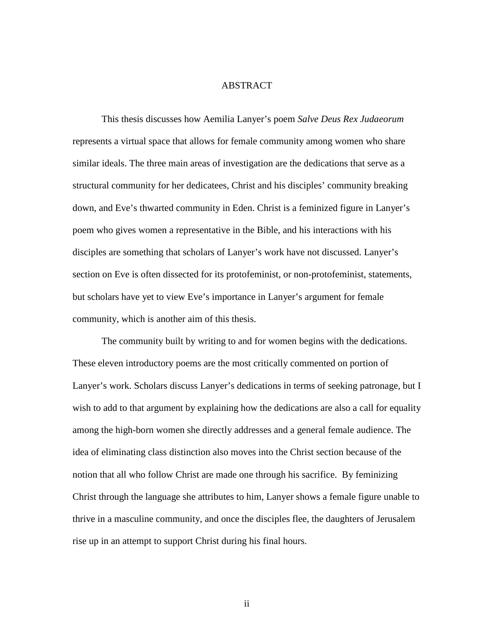# ABSTRACT

This thesis discusses how Aemilia Lanyer's poem *Salve Deus Rex Judaeorum* represents a virtual space that allows for female community among women who share similar ideals. The three main areas of investigation are the dedications that serve as a structural community for her dedicatees, Christ and his disciples' community breaking down, and Eve's thwarted community in Eden. Christ is a feminized figure in Lanyer's poem who gives women a representative in the Bible, and his interactions with his disciples are something that scholars of Lanyer's work have not discussed. Lanyer's section on Eve is often dissected for its protofeminist, or non-protofeminist, statements, but scholars have yet to view Eve's importance in Lanyer's argument for female community, which is another aim of this thesis.

The community built by writing to and for women begins with the dedications. These eleven introductory poems are the most critically commented on portion of Lanyer's work. Scholars discuss Lanyer's dedications in terms of seeking patronage, but I wish to add to that argument by explaining how the dedications are also a call for equality among the high-born women she directly addresses and a general female audience. The idea of eliminating class distinction also moves into the Christ section because of the notion that all who follow Christ are made one through his sacrifice. By feminizing Christ through the language she attributes to him, Lanyer shows a female figure unable to thrive in a masculine community, and once the disciples flee, the daughters of Jerusalem rise up in an attempt to support Christ during his final hours.

ii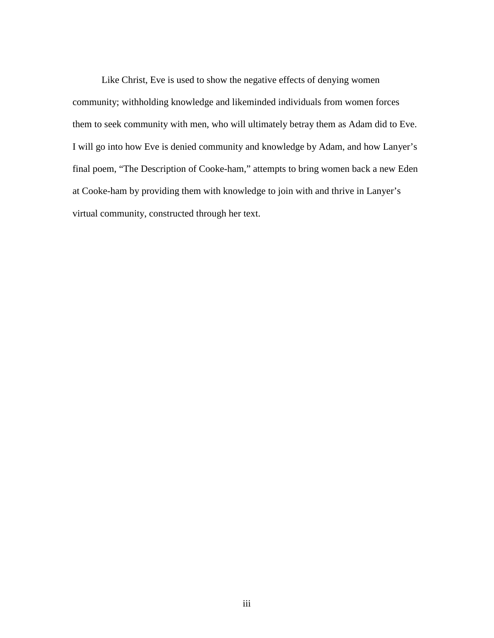Like Christ, Eve is used to show the negative effects of denying women community; withholding knowledge and likeminded individuals from women forces them to seek community with men, who will ultimately betray them as Adam did to Eve. I will go into how Eve is denied community and knowledge by Adam, and how Lanyer's final poem, "The Description of Cooke-ham," attempts to bring women back a new Eden at Cooke-ham by providing them with knowledge to join with and thrive in Lanyer's virtual community, constructed through her text.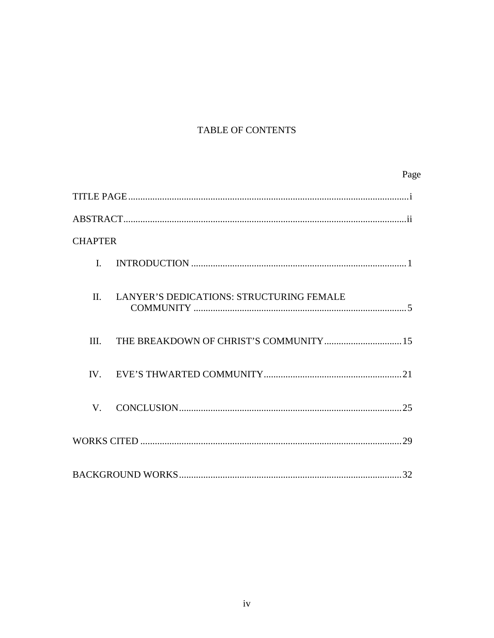# TABLE OF CONTENTS

|                |                                          | Page |
|----------------|------------------------------------------|------|
|                |                                          |      |
|                |                                          |      |
| <b>CHAPTER</b> |                                          |      |
| I.             |                                          |      |
| $\Pi$ .        | LANYER'S DEDICATIONS: STRUCTURING FEMALE |      |
| III.           |                                          |      |
| IV.            |                                          |      |
| V              |                                          |      |
|                |                                          |      |
|                |                                          |      |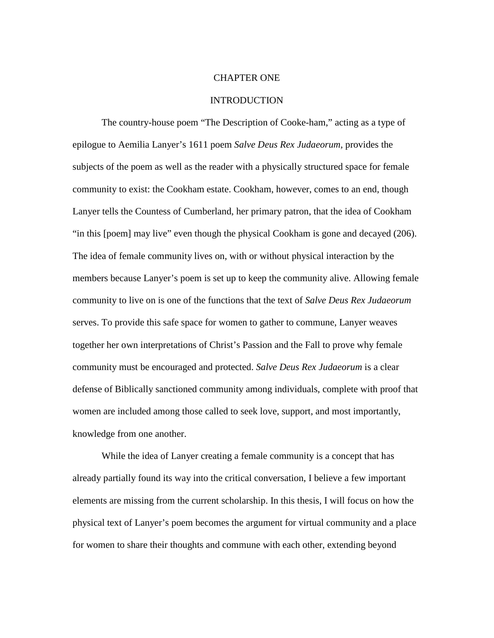### CHAPTER ONE

#### INTRODUCTION

The country-house poem "The Description of Cooke-ham," acting as a type of epilogue to Aemilia Lanyer's 1611 poem *Salve Deus Rex Judaeorum,* provides the subjects of the poem as well as the reader with a physically structured space for female community to exist: the Cookham estate. Cookham, however, comes to an end, though Lanyer tells the Countess of Cumberland, her primary patron, that the idea of Cookham "in this [poem] may live" even though the physical Cookham is gone and decayed (206). The idea of female community lives on, with or without physical interaction by the members because Lanyer's poem is set up to keep the community alive. Allowing female community to live on is one of the functions that the text of *Salve Deus Rex Judaeorum* serves. To provide this safe space for women to gather to commune, Lanyer weaves together her own interpretations of Christ's Passion and the Fall to prove why female community must be encouraged and protected. *Salve Deus Rex Judaeorum* is a clear defense of Biblically sanctioned community among individuals, complete with proof that women are included among those called to seek love, support, and most importantly, knowledge from one another.

While the idea of Lanyer creating a female community is a concept that has already partially found its way into the critical conversation, I believe a few important elements are missing from the current scholarship. In this thesis, I will focus on how the physical text of Lanyer's poem becomes the argument for virtual community and a place for women to share their thoughts and commune with each other, extending beyond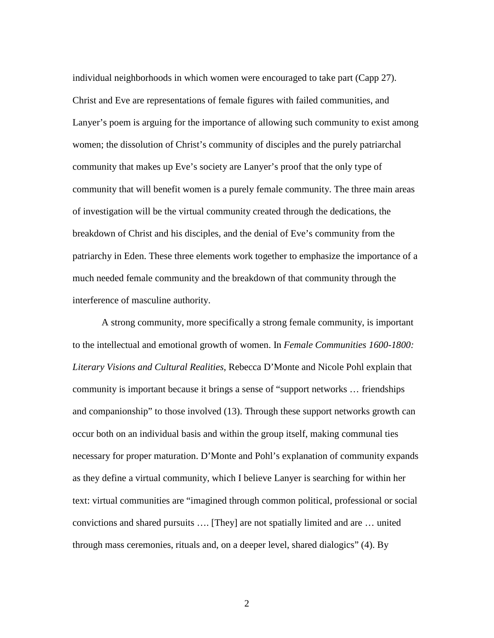individual neighborhoods in which women were encouraged to take part (Capp 27). Christ and Eve are representations of female figures with failed communities, and Lanyer's poem is arguing for the importance of allowing such community to exist among women; the dissolution of Christ's community of disciples and the purely patriarchal community that makes up Eve's society are Lanyer's proof that the only type of community that will benefit women is a purely female community. The three main areas of investigation will be the virtual community created through the dedications, the breakdown of Christ and his disciples, and the denial of Eve's community from the patriarchy in Eden. These three elements work together to emphasize the importance of a much needed female community and the breakdown of that community through the interference of masculine authority.

 A strong community, more specifically a strong female community, is important to the intellectual and emotional growth of women. In *Female Communities 1600-1800: Literary Visions and Cultural Realities*, Rebecca D'Monte and Nicole Pohl explain that community is important because it brings a sense of "support networks … friendships and companionship" to those involved (13). Through these support networks growth can occur both on an individual basis and within the group itself, making communal ties necessary for proper maturation. D'Monte and Pohl's explanation of community expands as they define a virtual community, which I believe Lanyer is searching for within her text: virtual communities are "imagined through common political, professional or social convictions and shared pursuits …. [They] are not spatially limited and are … united through mass ceremonies, rituals and, on a deeper level, shared dialogics" (4). By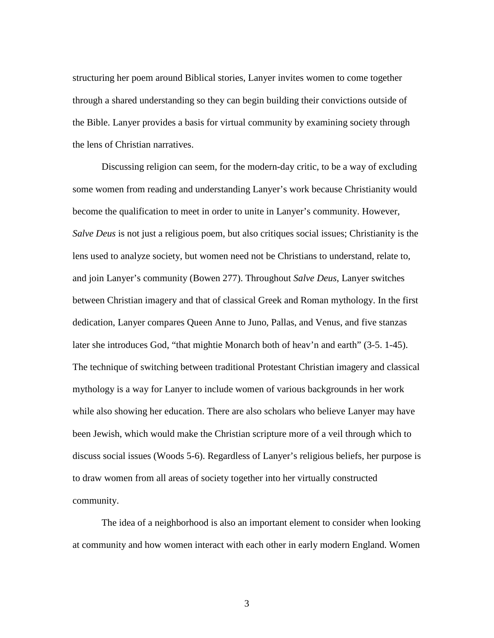structuring her poem around Biblical stories, Lanyer invites women to come together through a shared understanding so they can begin building their convictions outside of the Bible. Lanyer provides a basis for virtual community by examining society through the lens of Christian narratives.

 Discussing religion can seem, for the modern-day critic, to be a way of excluding some women from reading and understanding Lanyer's work because Christianity would become the qualification to meet in order to unite in Lanyer's community. However, *Salve Deus* is not just a religious poem, but also critiques social issues; Christianity is the lens used to analyze society, but women need not be Christians to understand, relate to, and join Lanyer's community (Bowen 277). Throughout *Salve Deus*, Lanyer switches between Christian imagery and that of classical Greek and Roman mythology. In the first dedication, Lanyer compares Queen Anne to Juno, Pallas, and Venus, and five stanzas later she introduces God, "that mightie Monarch both of heav'n and earth" (3-5. 1-45). The technique of switching between traditional Protestant Christian imagery and classical mythology is a way for Lanyer to include women of various backgrounds in her work while also showing her education. There are also scholars who believe Lanyer may have been Jewish, which would make the Christian scripture more of a veil through which to discuss social issues (Woods 5-6). Regardless of Lanyer's religious beliefs, her purpose is to draw women from all areas of society together into her virtually constructed community.

The idea of a neighborhood is also an important element to consider when looking at community and how women interact with each other in early modern England. Women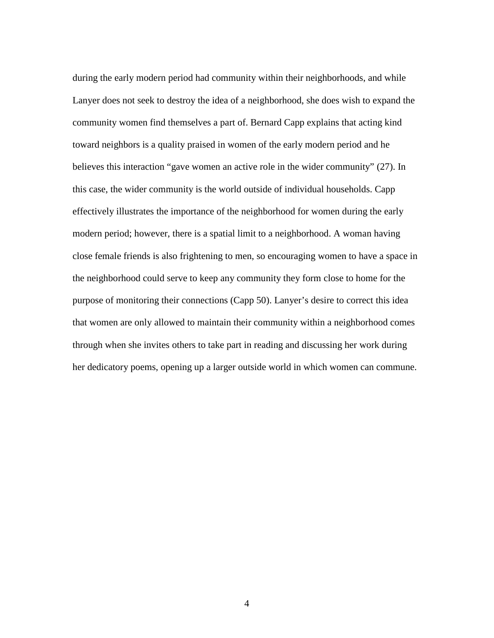during the early modern period had community within their neighborhoods, and while Lanyer does not seek to destroy the idea of a neighborhood, she does wish to expand the community women find themselves a part of. Bernard Capp explains that acting kind toward neighbors is a quality praised in women of the early modern period and he believes this interaction "gave women an active role in the wider community" (27). In this case, the wider community is the world outside of individual households. Capp effectively illustrates the importance of the neighborhood for women during the early modern period; however, there is a spatial limit to a neighborhood. A woman having close female friends is also frightening to men, so encouraging women to have a space in the neighborhood could serve to keep any community they form close to home for the purpose of monitoring their connections (Capp 50). Lanyer's desire to correct this idea that women are only allowed to maintain their community within a neighborhood comes through when she invites others to take part in reading and discussing her work during her dedicatory poems, opening up a larger outside world in which women can commune.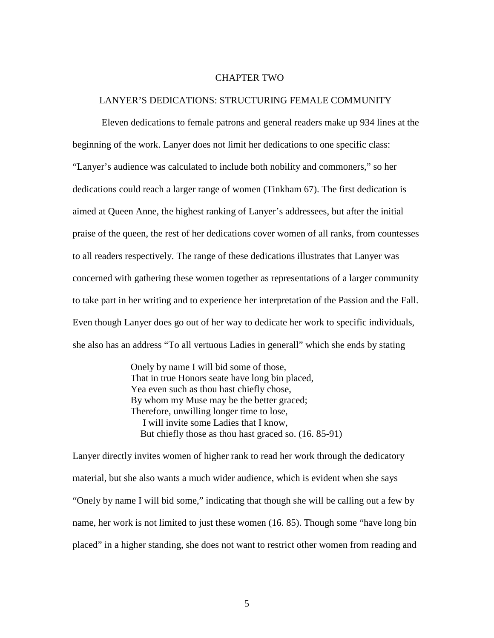## CHAPTER TWO

## LANYER'S DEDICATIONS: STRUCTURING FEMALE COMMUNITY

 Eleven dedications to female patrons and general readers make up 934 lines at the beginning of the work. Lanyer does not limit her dedications to one specific class: "Lanyer's audience was calculated to include both nobility and commoners," so her dedications could reach a larger range of women (Tinkham 67). The first dedication is aimed at Queen Anne, the highest ranking of Lanyer's addressees, but after the initial praise of the queen, the rest of her dedications cover women of all ranks, from countesses to all readers respectively. The range of these dedications illustrates that Lanyer was concerned with gathering these women together as representations of a larger community to take part in her writing and to experience her interpretation of the Passion and the Fall. Even though Lanyer does go out of her way to dedicate her work to specific individuals, she also has an address "To all vertuous Ladies in generall" which she ends by stating

> Onely by name I will bid some of those, That in true Honors seate have long bin placed, Yea even such as thou hast chiefly chose, By whom my Muse may be the better graced; Therefore, unwilling longer time to lose, I will invite some Ladies that I know, But chiefly those as thou hast graced so. (16. 85-91)

Lanyer directly invites women of higher rank to read her work through the dedicatory material, but she also wants a much wider audience, which is evident when she says "Onely by name I will bid some," indicating that though she will be calling out a few by name, her work is not limited to just these women (16. 85). Though some "have long bin placed" in a higher standing, she does not want to restrict other women from reading and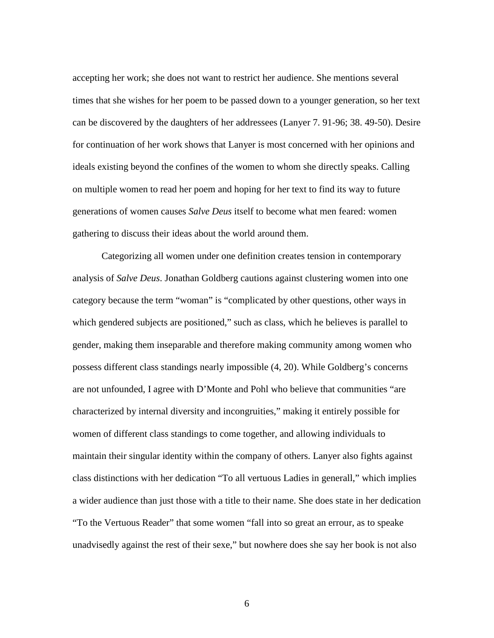accepting her work; she does not want to restrict her audience. She mentions several times that she wishes for her poem to be passed down to a younger generation, so her text can be discovered by the daughters of her addressees (Lanyer 7. 91-96; 38. 49-50). Desire for continuation of her work shows that Lanyer is most concerned with her opinions and ideals existing beyond the confines of the women to whom she directly speaks. Calling on multiple women to read her poem and hoping for her text to find its way to future generations of women causes *Salve Deus* itself to become what men feared: women gathering to discuss their ideas about the world around them.

 Categorizing all women under one definition creates tension in contemporary analysis of *Salve Deus*. Jonathan Goldberg cautions against clustering women into one category because the term "woman" is "complicated by other questions, other ways in which gendered subjects are positioned," such as class, which he believes is parallel to gender, making them inseparable and therefore making community among women who possess different class standings nearly impossible (4, 20). While Goldberg's concerns are not unfounded, I agree with D'Monte and Pohl who believe that communities "are characterized by internal diversity and incongruities," making it entirely possible for women of different class standings to come together, and allowing individuals to maintain their singular identity within the company of others. Lanyer also fights against class distinctions with her dedication "To all vertuous Ladies in generall," which implies a wider audience than just those with a title to their name. She does state in her dedication "To the Vertuous Reader" that some women "fall into so great an errour, as to speake unadvisedly against the rest of their sexe," but nowhere does she say her book is not also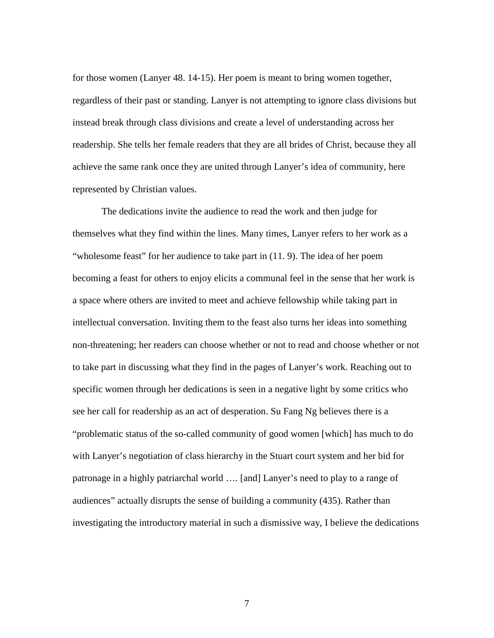for those women (Lanyer 48. 14-15). Her poem is meant to bring women together, regardless of their past or standing. Lanyer is not attempting to ignore class divisions but instead break through class divisions and create a level of understanding across her readership. She tells her female readers that they are all brides of Christ, because they all achieve the same rank once they are united through Lanyer's idea of community, here represented by Christian values.

The dedications invite the audience to read the work and then judge for themselves what they find within the lines. Many times, Lanyer refers to her work as a "wholesome feast" for her audience to take part in  $(11.9)$ . The idea of her poem becoming a feast for others to enjoy elicits a communal feel in the sense that her work is a space where others are invited to meet and achieve fellowship while taking part in intellectual conversation. Inviting them to the feast also turns her ideas into something non-threatening; her readers can choose whether or not to read and choose whether or not to take part in discussing what they find in the pages of Lanyer's work. Reaching out to specific women through her dedications is seen in a negative light by some critics who see her call for readership as an act of desperation. Su Fang Ng believes there is a "problematic status of the so-called community of good women [which] has much to do with Lanyer's negotiation of class hierarchy in the Stuart court system and her bid for patronage in a highly patriarchal world …. [and] Lanyer's need to play to a range of audiences" actually disrupts the sense of building a community (435). Rather than investigating the introductory material in such a dismissive way, I believe the dedications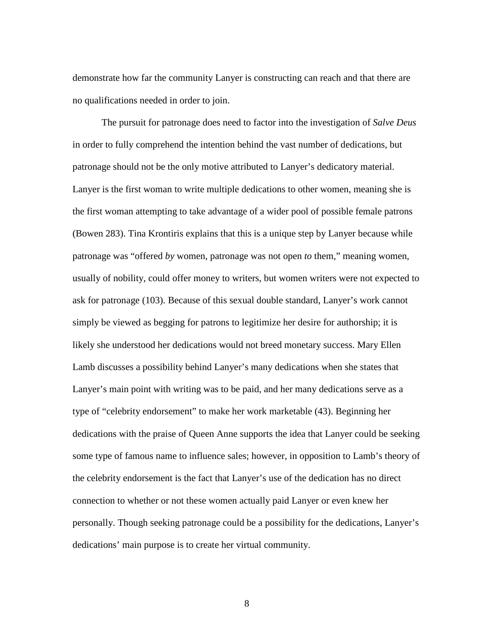demonstrate how far the community Lanyer is constructing can reach and that there are no qualifications needed in order to join.

The pursuit for patronage does need to factor into the investigation of *Salve Deus*  in order to fully comprehend the intention behind the vast number of dedications, but patronage should not be the only motive attributed to Lanyer's dedicatory material. Lanyer is the first woman to write multiple dedications to other women, meaning she is the first woman attempting to take advantage of a wider pool of possible female patrons (Bowen 283). Tina Krontiris explains that this is a unique step by Lanyer because while patronage was "offered *by* women, patronage was not open *to* them," meaning women, usually of nobility, could offer money to writers, but women writers were not expected to ask for patronage (103). Because of this sexual double standard, Lanyer's work cannot simply be viewed as begging for patrons to legitimize her desire for authorship; it is likely she understood her dedications would not breed monetary success. Mary Ellen Lamb discusses a possibility behind Lanyer's many dedications when she states that Lanyer's main point with writing was to be paid, and her many dedications serve as a type of "celebrity endorsement" to make her work marketable (43). Beginning her dedications with the praise of Queen Anne supports the idea that Lanyer could be seeking some type of famous name to influence sales; however, in opposition to Lamb's theory of the celebrity endorsement is the fact that Lanyer's use of the dedication has no direct connection to whether or not these women actually paid Lanyer or even knew her personally. Though seeking patronage could be a possibility for the dedications, Lanyer's dedications' main purpose is to create her virtual community.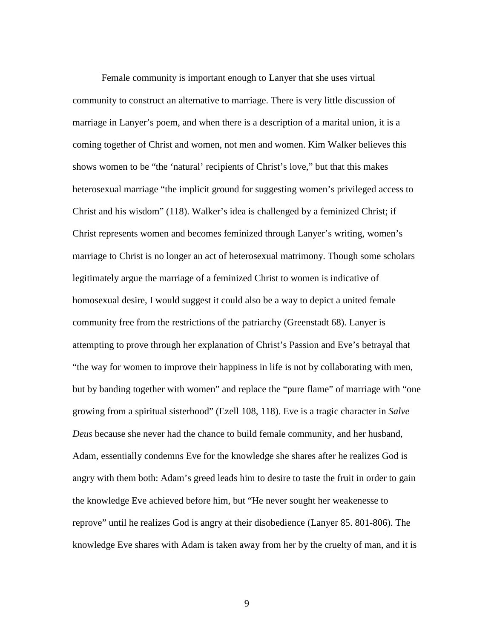Female community is important enough to Lanyer that she uses virtual community to construct an alternative to marriage. There is very little discussion of marriage in Lanyer's poem, and when there is a description of a marital union, it is a coming together of Christ and women, not men and women. Kim Walker believes this shows women to be "the 'natural' recipients of Christ's love," but that this makes heterosexual marriage "the implicit ground for suggesting women's privileged access to Christ and his wisdom" (118). Walker's idea is challenged by a feminized Christ; if Christ represents women and becomes feminized through Lanyer's writing, women's marriage to Christ is no longer an act of heterosexual matrimony. Though some scholars legitimately argue the marriage of a feminized Christ to women is indicative of homosexual desire, I would suggest it could also be a way to depict a united female community free from the restrictions of the patriarchy (Greenstadt 68). Lanyer is attempting to prove through her explanation of Christ's Passion and Eve's betrayal that "the way for women to improve their happiness in life is not by collaborating with men, but by banding together with women" and replace the "pure flame" of marriage with "one growing from a spiritual sisterhood" (Ezell 108, 118). Eve is a tragic character in *Salve Deus* because she never had the chance to build female community, and her husband, Adam, essentially condemns Eve for the knowledge she shares after he realizes God is angry with them both: Adam's greed leads him to desire to taste the fruit in order to gain the knowledge Eve achieved before him, but "He never sought her weakenesse to reprove" until he realizes God is angry at their disobedience (Lanyer 85. 801-806). The knowledge Eve shares with Adam is taken away from her by the cruelty of man, and it is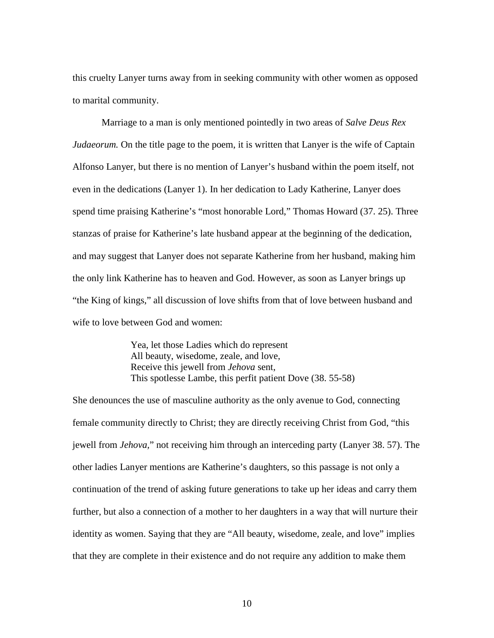this cruelty Lanyer turns away from in seeking community with other women as opposed to marital community.

 Marriage to a man is only mentioned pointedly in two areas of *Salve Deus Rex Judaeorum*. On the title page to the poem, it is written that Lanyer is the wife of Captain Alfonso Lanyer, but there is no mention of Lanyer's husband within the poem itself, not even in the dedications (Lanyer 1). In her dedication to Lady Katherine, Lanyer does spend time praising Katherine's "most honorable Lord," Thomas Howard (37. 25). Three stanzas of praise for Katherine's late husband appear at the beginning of the dedication, and may suggest that Lanyer does not separate Katherine from her husband, making him the only link Katherine has to heaven and God. However, as soon as Lanyer brings up "the King of kings," all discussion of love shifts from that of love between husband and wife to love between God and women:

> Yea, let those Ladies which do represent All beauty, wisedome, zeale, and love, Receive this jewell from *Jehova* sent, This spotlesse Lambe, this perfit patient Dove (38. 55-58)

She denounces the use of masculine authority as the only avenue to God, connecting female community directly to Christ; they are directly receiving Christ from God, "this jewell from *Jehova,*" not receiving him through an interceding party (Lanyer 38. 57). The other ladies Lanyer mentions are Katherine's daughters, so this passage is not only a continuation of the trend of asking future generations to take up her ideas and carry them further, but also a connection of a mother to her daughters in a way that will nurture their identity as women. Saying that they are "All beauty, wisedome, zeale, and love" implies that they are complete in their existence and do not require any addition to make them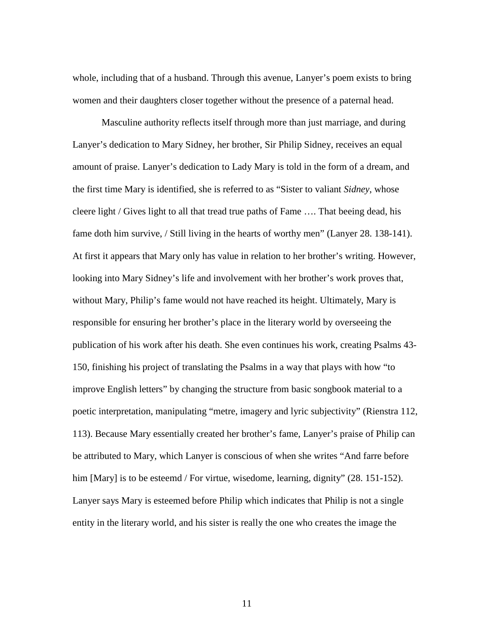whole, including that of a husband. Through this avenue, Lanyer's poem exists to bring women and their daughters closer together without the presence of a paternal head.

Masculine authority reflects itself through more than just marriage, and during Lanyer's dedication to Mary Sidney, her brother, Sir Philip Sidney, receives an equal amount of praise. Lanyer's dedication to Lady Mary is told in the form of a dream, and the first time Mary is identified, she is referred to as "Sister to valiant *Sidney*, whose cleere light / Gives light to all that tread true paths of Fame …. That beeing dead, his fame doth him survive, / Still living in the hearts of worthy men" (Lanyer 28. 138-141). At first it appears that Mary only has value in relation to her brother's writing. However, looking into Mary Sidney's life and involvement with her brother's work proves that, without Mary, Philip's fame would not have reached its height. Ultimately, Mary is responsible for ensuring her brother's place in the literary world by overseeing the publication of his work after his death. She even continues his work, creating Psalms 43- 150, finishing his project of translating the Psalms in a way that plays with how "to improve English letters" by changing the structure from basic songbook material to a poetic interpretation, manipulating "metre, imagery and lyric subjectivity" (Rienstra 112, 113). Because Mary essentially created her brother's fame, Lanyer's praise of Philip can be attributed to Mary, which Lanyer is conscious of when she writes "And farre before him [Mary] is to be esteemd / For virtue, wisedome, learning, dignity" (28. 151-152). Lanyer says Mary is esteemed before Philip which indicates that Philip is not a single entity in the literary world, and his sister is really the one who creates the image the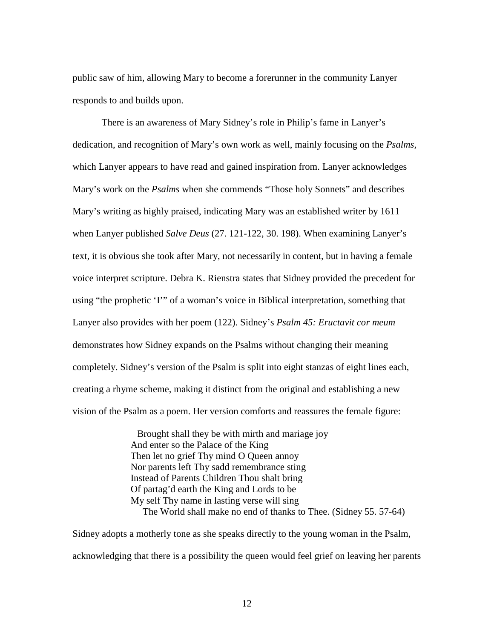public saw of him, allowing Mary to become a forerunner in the community Lanyer responds to and builds upon.

There is an awareness of Mary Sidney's role in Philip's fame in Lanyer's dedication, and recognition of Mary's own work as well, mainly focusing on the *Psalms,* which Lanyer appears to have read and gained inspiration from. Lanyer acknowledges Mary's work on the *Psalms* when she commends "Those holy Sonnets" and describes Mary's writing as highly praised, indicating Mary was an established writer by 1611 when Lanyer published *Salve Deus* (27. 121-122, 30. 198). When examining Lanyer's text, it is obvious she took after Mary, not necessarily in content, but in having a female voice interpret scripture. Debra K. Rienstra states that Sidney provided the precedent for using "the prophetic 'I'" of a woman's voice in Biblical interpretation, something that Lanyer also provides with her poem (122). Sidney's *Psalm 45: Eructavit cor meum*  demonstrates how Sidney expands on the Psalms without changing their meaning completely. Sidney's version of the Psalm is split into eight stanzas of eight lines each, creating a rhyme scheme, making it distinct from the original and establishing a new vision of the Psalm as a poem. Her version comforts and reassures the female figure:

> Brought shall they be with mirth and mariage joy And enter so the Palace of the King Then let no grief Thy mind O Queen annoy Nor parents left Thy sadd remembrance sting Instead of Parents Children Thou shalt bring Of partag'd earth the King and Lords to be My self Thy name in lasting verse will sing The World shall make no end of thanks to Thee. (Sidney 55. 57-64)

Sidney adopts a motherly tone as she speaks directly to the young woman in the Psalm, acknowledging that there is a possibility the queen would feel grief on leaving her parents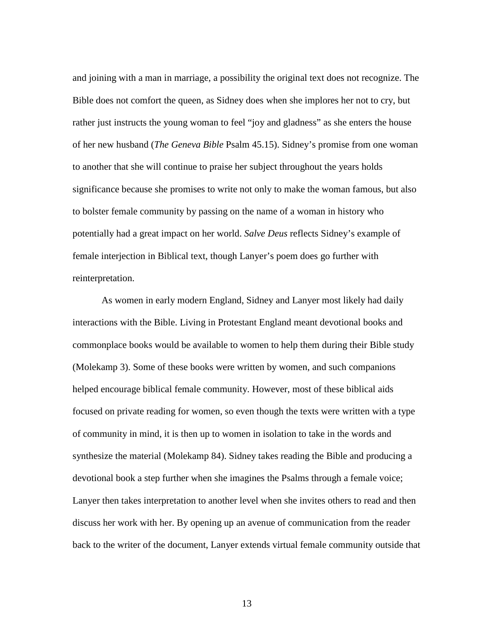and joining with a man in marriage, a possibility the original text does not recognize. The Bible does not comfort the queen, as Sidney does when she implores her not to cry, but rather just instructs the young woman to feel "joy and gladness" as she enters the house of her new husband (*The Geneva Bible* Psalm 45.15). Sidney's promise from one woman to another that she will continue to praise her subject throughout the years holds significance because she promises to write not only to make the woman famous, but also to bolster female community by passing on the name of a woman in history who potentially had a great impact on her world. *Salve Deus* reflects Sidney's example of female interjection in Biblical text, though Lanyer's poem does go further with reinterpretation.

As women in early modern England, Sidney and Lanyer most likely had daily interactions with the Bible. Living in Protestant England meant devotional books and commonplace books would be available to women to help them during their Bible study (Molekamp 3). Some of these books were written by women, and such companions helped encourage biblical female community. However, most of these biblical aids focused on private reading for women, so even though the texts were written with a type of community in mind, it is then up to women in isolation to take in the words and synthesize the material (Molekamp 84). Sidney takes reading the Bible and producing a devotional book a step further when she imagines the Psalms through a female voice; Lanyer then takes interpretation to another level when she invites others to read and then discuss her work with her. By opening up an avenue of communication from the reader back to the writer of the document, Lanyer extends virtual female community outside that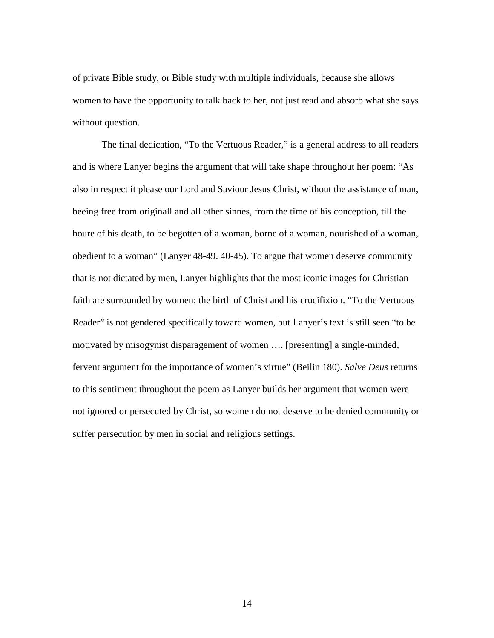of private Bible study, or Bible study with multiple individuals, because she allows women to have the opportunity to talk back to her, not just read and absorb what she says without question.

The final dedication, "To the Vertuous Reader," is a general address to all readers and is where Lanyer begins the argument that will take shape throughout her poem: "As also in respect it please our Lord and Saviour Jesus Christ, without the assistance of man, beeing free from originall and all other sinnes, from the time of his conception, till the houre of his death, to be begotten of a woman, borne of a woman, nourished of a woman, obedient to a woman" (Lanyer 48-49. 40-45). To argue that women deserve community that is not dictated by men, Lanyer highlights that the most iconic images for Christian faith are surrounded by women: the birth of Christ and his crucifixion. "To the Vertuous Reader" is not gendered specifically toward women, but Lanyer's text is still seen "to be motivated by misogynist disparagement of women …. [presenting] a single-minded, fervent argument for the importance of women's virtue" (Beilin 180). *Salve Deus* returns to this sentiment throughout the poem as Lanyer builds her argument that women were not ignored or persecuted by Christ, so women do not deserve to be denied community or suffer persecution by men in social and religious settings.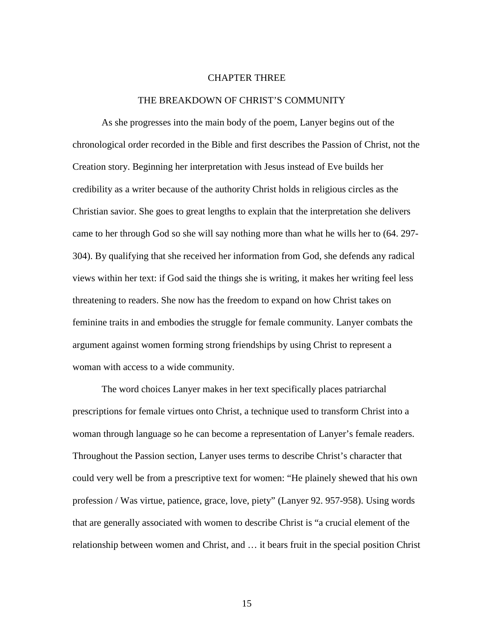## CHAPTER THREE

#### THE BREAKDOWN OF CHRIST'S COMMUNITY

As she progresses into the main body of the poem, Lanyer begins out of the chronological order recorded in the Bible and first describes the Passion of Christ, not the Creation story. Beginning her interpretation with Jesus instead of Eve builds her credibility as a writer because of the authority Christ holds in religious circles as the Christian savior. She goes to great lengths to explain that the interpretation she delivers came to her through God so she will say nothing more than what he wills her to (64. 297- 304). By qualifying that she received her information from God, she defends any radical views within her text: if God said the things she is writing, it makes her writing feel less threatening to readers. She now has the freedom to expand on how Christ takes on feminine traits in and embodies the struggle for female community. Lanyer combats the argument against women forming strong friendships by using Christ to represent a woman with access to a wide community.

The word choices Lanyer makes in her text specifically places patriarchal prescriptions for female virtues onto Christ, a technique used to transform Christ into a woman through language so he can become a representation of Lanyer's female readers. Throughout the Passion section, Lanyer uses terms to describe Christ's character that could very well be from a prescriptive text for women: "He plainely shewed that his own profession / Was virtue, patience, grace, love, piety" (Lanyer 92. 957-958). Using words that are generally associated with women to describe Christ is "a crucial element of the relationship between women and Christ, and … it bears fruit in the special position Christ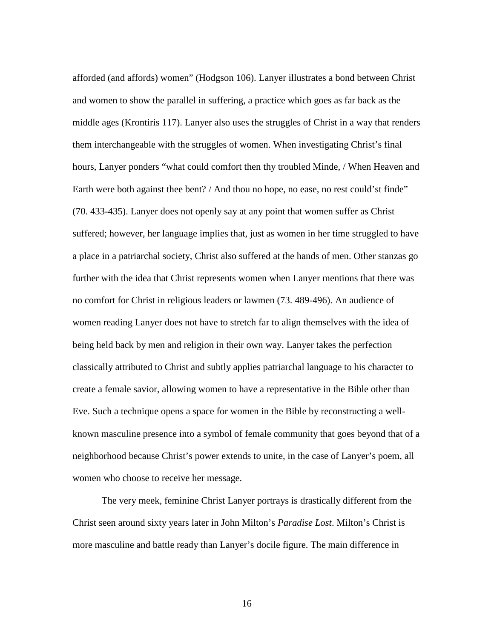afforded (and affords) women" (Hodgson 106). Lanyer illustrates a bond between Christ and women to show the parallel in suffering, a practice which goes as far back as the middle ages (Krontiris 117). Lanyer also uses the struggles of Christ in a way that renders them interchangeable with the struggles of women. When investigating Christ's final hours, Lanyer ponders "what could comfort then thy troubled Minde, / When Heaven and Earth were both against thee bent? / And thou no hope, no ease, no rest could'st finde" (70. 433-435). Lanyer does not openly say at any point that women suffer as Christ suffered; however, her language implies that, just as women in her time struggled to have a place in a patriarchal society, Christ also suffered at the hands of men. Other stanzas go further with the idea that Christ represents women when Lanyer mentions that there was no comfort for Christ in religious leaders or lawmen (73. 489-496). An audience of women reading Lanyer does not have to stretch far to align themselves with the idea of being held back by men and religion in their own way. Lanyer takes the perfection classically attributed to Christ and subtly applies patriarchal language to his character to create a female savior, allowing women to have a representative in the Bible other than Eve. Such a technique opens a space for women in the Bible by reconstructing a wellknown masculine presence into a symbol of female community that goes beyond that of a neighborhood because Christ's power extends to unite, in the case of Lanyer's poem, all women who choose to receive her message.

The very meek, feminine Christ Lanyer portrays is drastically different from the Christ seen around sixty years later in John Milton's *Paradise Lost*. Milton's Christ is more masculine and battle ready than Lanyer's docile figure. The main difference in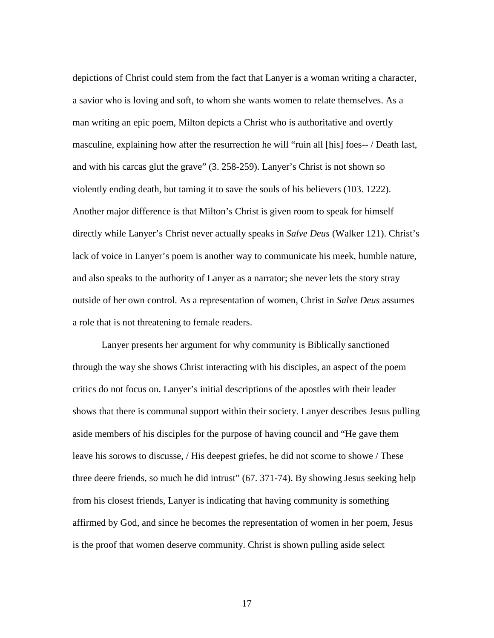depictions of Christ could stem from the fact that Lanyer is a woman writing a character, a savior who is loving and soft, to whom she wants women to relate themselves. As a man writing an epic poem, Milton depicts a Christ who is authoritative and overtly masculine, explaining how after the resurrection he will "ruin all [his] foes-- / Death last, and with his carcas glut the grave" (3. 258-259). Lanyer's Christ is not shown so violently ending death, but taming it to save the souls of his believers (103. 1222). Another major difference is that Milton's Christ is given room to speak for himself directly while Lanyer's Christ never actually speaks in *Salve Deus* (Walker 121). Christ's lack of voice in Lanyer's poem is another way to communicate his meek, humble nature, and also speaks to the authority of Lanyer as a narrator; she never lets the story stray outside of her own control. As a representation of women, Christ in *Salve Deus* assumes a role that is not threatening to female readers.

Lanyer presents her argument for why community is Biblically sanctioned through the way she shows Christ interacting with his disciples, an aspect of the poem critics do not focus on. Lanyer's initial descriptions of the apostles with their leader shows that there is communal support within their society. Lanyer describes Jesus pulling aside members of his disciples for the purpose of having council and "He gave them leave his sorows to discusse, / His deepest griefes, he did not scorne to showe / These three deere friends, so much he did intrust" (67. 371-74). By showing Jesus seeking help from his closest friends, Lanyer is indicating that having community is something affirmed by God, and since he becomes the representation of women in her poem, Jesus is the proof that women deserve community. Christ is shown pulling aside select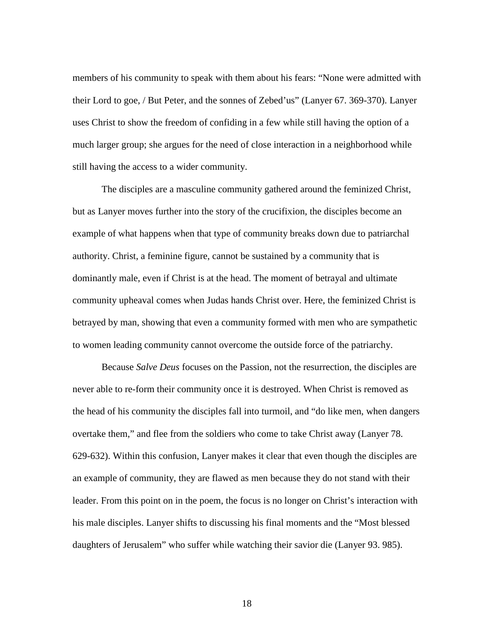members of his community to speak with them about his fears: "None were admitted with their Lord to goe, / But Peter, and the sonnes of Zebed'us" (Lanyer 67. 369-370). Lanyer uses Christ to show the freedom of confiding in a few while still having the option of a much larger group; she argues for the need of close interaction in a neighborhood while still having the access to a wider community.

The disciples are a masculine community gathered around the feminized Christ, but as Lanyer moves further into the story of the crucifixion, the disciples become an example of what happens when that type of community breaks down due to patriarchal authority. Christ, a feminine figure, cannot be sustained by a community that is dominantly male, even if Christ is at the head. The moment of betrayal and ultimate community upheaval comes when Judas hands Christ over. Here, the feminized Christ is betrayed by man, showing that even a community formed with men who are sympathetic to women leading community cannot overcome the outside force of the patriarchy.

 Because *Salve Deus* focuses on the Passion, not the resurrection, the disciples are never able to re-form their community once it is destroyed. When Christ is removed as the head of his community the disciples fall into turmoil, and "do like men, when dangers overtake them," and flee from the soldiers who come to take Christ away (Lanyer 78. 629-632). Within this confusion, Lanyer makes it clear that even though the disciples are an example of community, they are flawed as men because they do not stand with their leader. From this point on in the poem, the focus is no longer on Christ's interaction with his male disciples. Lanyer shifts to discussing his final moments and the "Most blessed daughters of Jerusalem" who suffer while watching their savior die (Lanyer 93. 985).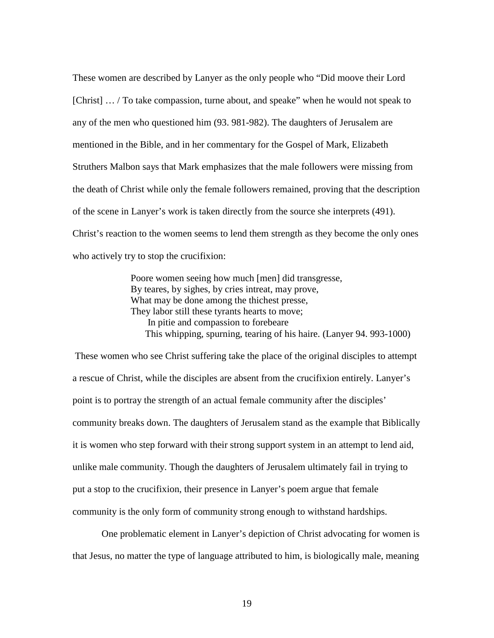These women are described by Lanyer as the only people who "Did moove their Lord [Christ] … / To take compassion, turne about, and speake" when he would not speak to any of the men who questioned him (93. 981-982). The daughters of Jerusalem are mentioned in the Bible, and in her commentary for the Gospel of Mark*,* Elizabeth Struthers Malbon says that Mark emphasizes that the male followers were missing from the death of Christ while only the female followers remained, proving that the description of the scene in Lanyer's work is taken directly from the source she interprets (491). Christ's reaction to the women seems to lend them strength as they become the only ones who actively try to stop the crucifixion:

> Poore women seeing how much [men] did transgresse, By teares, by sighes, by cries intreat, may prove, What may be done among the thichest presse, They labor still these tyrants hearts to move; In pitie and compassion to forebeare This whipping, spurning, tearing of his haire. (Lanyer 94. 993-1000)

 These women who see Christ suffering take the place of the original disciples to attempt a rescue of Christ, while the disciples are absent from the crucifixion entirely. Lanyer's point is to portray the strength of an actual female community after the disciples' community breaks down. The daughters of Jerusalem stand as the example that Biblically it is women who step forward with their strong support system in an attempt to lend aid, unlike male community. Though the daughters of Jerusalem ultimately fail in trying to put a stop to the crucifixion, their presence in Lanyer's poem argue that female community is the only form of community strong enough to withstand hardships.

One problematic element in Lanyer's depiction of Christ advocating for women is that Jesus, no matter the type of language attributed to him, is biologically male, meaning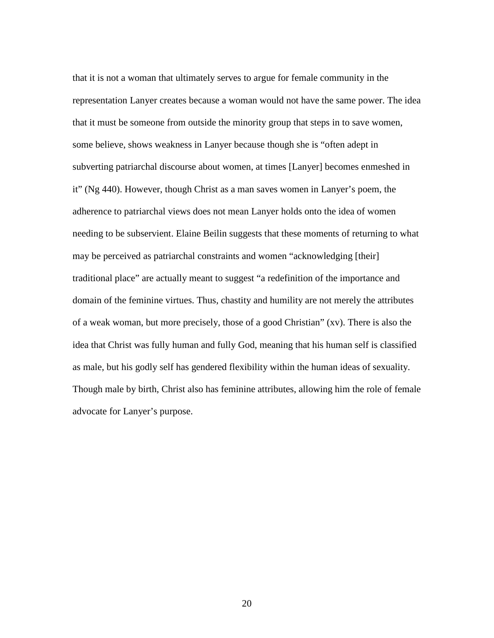that it is not a woman that ultimately serves to argue for female community in the representation Lanyer creates because a woman would not have the same power. The idea that it must be someone from outside the minority group that steps in to save women, some believe, shows weakness in Lanyer because though she is "often adept in subverting patriarchal discourse about women, at times [Lanyer] becomes enmeshed in it" (Ng 440). However, though Christ as a man saves women in Lanyer's poem, the adherence to patriarchal views does not mean Lanyer holds onto the idea of women needing to be subservient. Elaine Beilin suggests that these moments of returning to what may be perceived as patriarchal constraints and women "acknowledging [their] traditional place" are actually meant to suggest "a redefinition of the importance and domain of the feminine virtues. Thus, chastity and humility are not merely the attributes of a weak woman, but more precisely, those of a good Christian" (xv). There is also the idea that Christ was fully human and fully God, meaning that his human self is classified as male, but his godly self has gendered flexibility within the human ideas of sexuality. Though male by birth, Christ also has feminine attributes, allowing him the role of female advocate for Lanyer's purpose.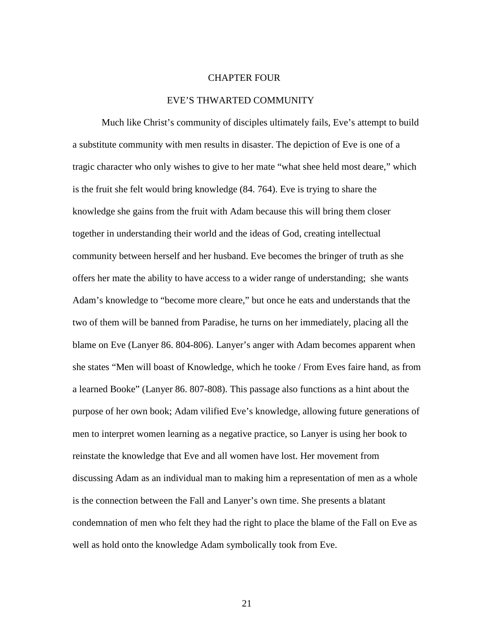## CHAPTER FOUR

#### EVE'S THWARTED COMMUNITY

 Much like Christ's community of disciples ultimately fails, Eve's attempt to build a substitute community with men results in disaster. The depiction of Eve is one of a tragic character who only wishes to give to her mate "what shee held most deare," which is the fruit she felt would bring knowledge (84. 764). Eve is trying to share the knowledge she gains from the fruit with Adam because this will bring them closer together in understanding their world and the ideas of God, creating intellectual community between herself and her husband. Eve becomes the bringer of truth as she offers her mate the ability to have access to a wider range of understanding; she wants Adam's knowledge to "become more cleare," but once he eats and understands that the two of them will be banned from Paradise, he turns on her immediately, placing all the blame on Eve (Lanyer 86. 804-806). Lanyer's anger with Adam becomes apparent when she states "Men will boast of Knowledge, which he tooke / From Eves faire hand, as from a learned Booke" (Lanyer 86. 807-808). This passage also functions as a hint about the purpose of her own book; Adam vilified Eve's knowledge, allowing future generations of men to interpret women learning as a negative practice, so Lanyer is using her book to reinstate the knowledge that Eve and all women have lost. Her movement from discussing Adam as an individual man to making him a representation of men as a whole is the connection between the Fall and Lanyer's own time. She presents a blatant condemnation of men who felt they had the right to place the blame of the Fall on Eve as well as hold onto the knowledge Adam symbolically took from Eve.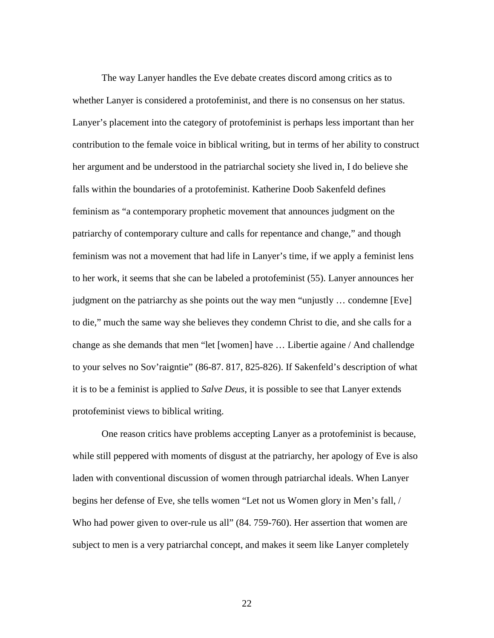The way Lanyer handles the Eve debate creates discord among critics as to whether Lanyer is considered a protofeminist, and there is no consensus on her status. Lanyer's placement into the category of protofeminist is perhaps less important than her contribution to the female voice in biblical writing, but in terms of her ability to construct her argument and be understood in the patriarchal society she lived in, I do believe she falls within the boundaries of a protofeminist. Katherine Doob Sakenfeld defines feminism as "a contemporary prophetic movement that announces judgment on the patriarchy of contemporary culture and calls for repentance and change," and though feminism was not a movement that had life in Lanyer's time, if we apply a feminist lens to her work, it seems that she can be labeled a protofeminist (55). Lanyer announces her judgment on the patriarchy as she points out the way men "unjustly … condemne [Eve] to die," much the same way she believes they condemn Christ to die, and she calls for a change as she demands that men "let [women] have … Libertie againe / And challendge to your selves no Sov'raigntie" (86-87. 817, 825-826). If Sakenfeld's description of what it is to be a feminist is applied to *Salve Deus*, it is possible to see that Lanyer extends protofeminist views to biblical writing.

 One reason critics have problems accepting Lanyer as a protofeminist is because, while still peppered with moments of disgust at the patriarchy, her apology of Eve is also laden with conventional discussion of women through patriarchal ideals. When Lanyer begins her defense of Eve, she tells women "Let not us Women glory in Men's fall, / Who had power given to over-rule us all" (84. 759-760). Her assertion that women are subject to men is a very patriarchal concept, and makes it seem like Lanyer completely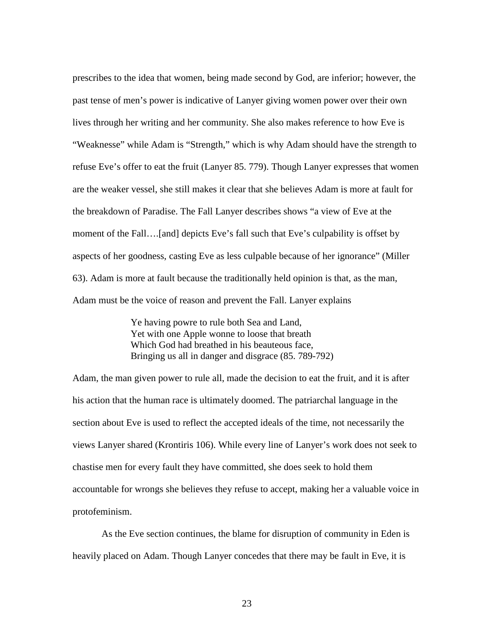prescribes to the idea that women, being made second by God, are inferior; however, the past tense of men's power is indicative of Lanyer giving women power over their own lives through her writing and her community. She also makes reference to how Eve is "Weaknesse" while Adam is "Strength," which is why Adam should have the strength to refuse Eve's offer to eat the fruit (Lanyer 85. 779). Though Lanyer expresses that women are the weaker vessel, she still makes it clear that she believes Adam is more at fault for the breakdown of Paradise. The Fall Lanyer describes shows "a view of Eve at the moment of the Fall….[and] depicts Eve's fall such that Eve's culpability is offset by aspects of her goodness, casting Eve as less culpable because of her ignorance" (Miller 63). Adam is more at fault because the traditionally held opinion is that, as the man, Adam must be the voice of reason and prevent the Fall. Lanyer explains

> Ye having powre to rule both Sea and Land, Yet with one Apple wonne to loose that breath Which God had breathed in his beauteous face, Bringing us all in danger and disgrace (85. 789-792)

Adam, the man given power to rule all, made the decision to eat the fruit, and it is after his action that the human race is ultimately doomed. The patriarchal language in the section about Eve is used to reflect the accepted ideals of the time, not necessarily the views Lanyer shared (Krontiris 106). While every line of Lanyer's work does not seek to chastise men for every fault they have committed, she does seek to hold them accountable for wrongs she believes they refuse to accept, making her a valuable voice in protofeminism.

As the Eve section continues, the blame for disruption of community in Eden is heavily placed on Adam. Though Lanyer concedes that there may be fault in Eve, it is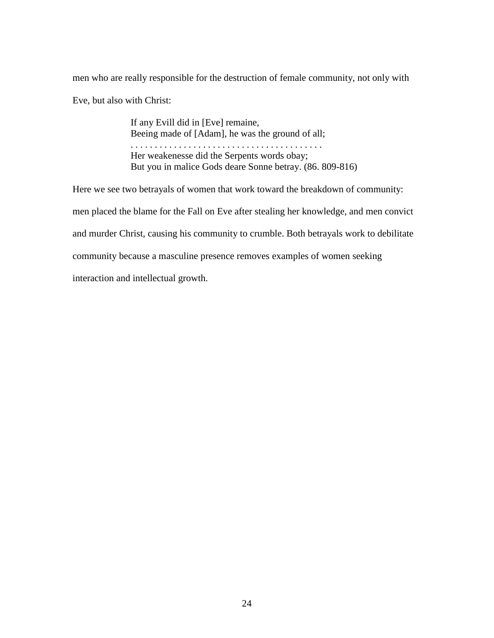men who are really responsible for the destruction of female community, not only with Eve, but also with Christ:

> If any Evill did in [Eve] remaine, Beeing made of [Adam], he was the ground of all; . . . . . . . . . . . . . . . . . . . . . . . . . . . . . . . . . . . . . . . . Her weakenesse did the Serpents words obay; But you in malice Gods deare Sonne betray. (86. 809-816)

Here we see two betrayals of women that work toward the breakdown of community: men placed the blame for the Fall on Eve after stealing her knowledge, and men convict and murder Christ, causing his community to crumble. Both betrayals work to debilitate community because a masculine presence removes examples of women seeking interaction and intellectual growth.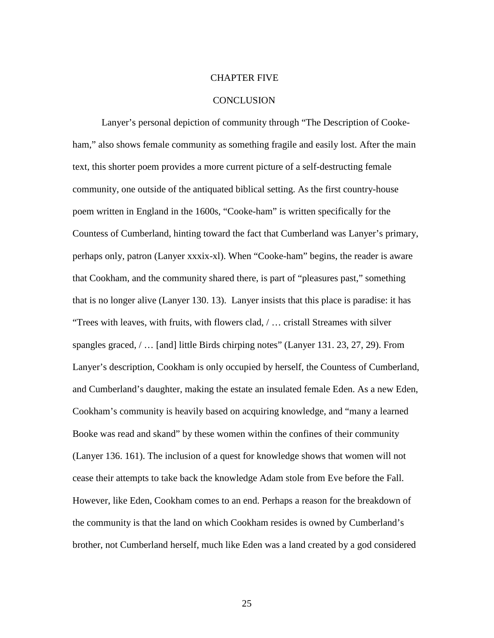### CHAPTER FIVE

#### **CONCLUSION**

Lanyer's personal depiction of community through "The Description of Cookeham," also shows female community as something fragile and easily lost. After the main text, this shorter poem provides a more current picture of a self-destructing female community, one outside of the antiquated biblical setting. As the first country-house poem written in England in the 1600s, "Cooke-ham" is written specifically for the Countess of Cumberland, hinting toward the fact that Cumberland was Lanyer's primary, perhaps only, patron (Lanyer xxxix-xl). When "Cooke-ham" begins, the reader is aware that Cookham, and the community shared there, is part of "pleasures past," something that is no longer alive (Lanyer 130. 13). Lanyer insists that this place is paradise: it has "Trees with leaves, with fruits, with flowers clad, / … cristall Streames with silver spangles graced, / … [and] little Birds chirping notes" (Lanyer 131. 23, 27, 29). From Lanyer's description, Cookham is only occupied by herself, the Countess of Cumberland, and Cumberland's daughter, making the estate an insulated female Eden. As a new Eden, Cookham's community is heavily based on acquiring knowledge, and "many a learned Booke was read and skand" by these women within the confines of their community (Lanyer 136. 161). The inclusion of a quest for knowledge shows that women will not cease their attempts to take back the knowledge Adam stole from Eve before the Fall. However, like Eden, Cookham comes to an end. Perhaps a reason for the breakdown of the community is that the land on which Cookham resides is owned by Cumberland's brother, not Cumberland herself, much like Eden was a land created by a god considered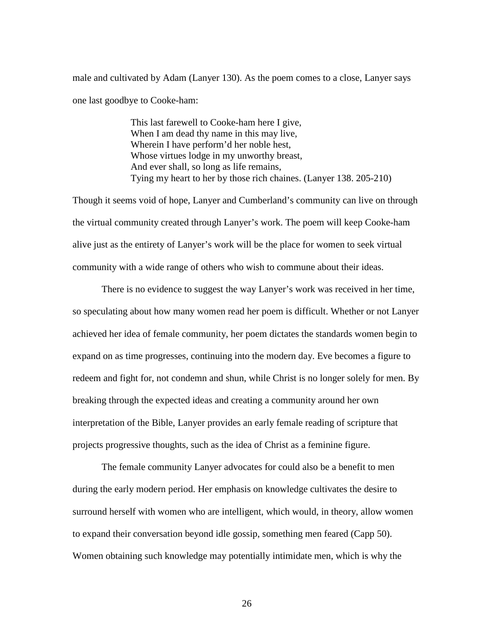male and cultivated by Adam (Lanyer 130). As the poem comes to a close, Lanyer says one last goodbye to Cooke-ham:

> This last farewell to Cooke-ham here I give, When I am dead thy name in this may live, Wherein I have perform'd her noble hest, Whose virtues lodge in my unworthy breast, And ever shall, so long as life remains, Tying my heart to her by those rich chaines. (Lanyer 138. 205-210)

Though it seems void of hope, Lanyer and Cumberland's community can live on through the virtual community created through Lanyer's work. The poem will keep Cooke-ham alive just as the entirety of Lanyer's work will be the place for women to seek virtual community with a wide range of others who wish to commune about their ideas.

There is no evidence to suggest the way Lanyer's work was received in her time, so speculating about how many women read her poem is difficult. Whether or not Lanyer achieved her idea of female community, her poem dictates the standards women begin to expand on as time progresses, continuing into the modern day. Eve becomes a figure to redeem and fight for, not condemn and shun, while Christ is no longer solely for men. By breaking through the expected ideas and creating a community around her own interpretation of the Bible, Lanyer provides an early female reading of scripture that projects progressive thoughts, such as the idea of Christ as a feminine figure.

The female community Lanyer advocates for could also be a benefit to men during the early modern period. Her emphasis on knowledge cultivates the desire to surround herself with women who are intelligent, which would, in theory, allow women to expand their conversation beyond idle gossip, something men feared (Capp 50). Women obtaining such knowledge may potentially intimidate men, which is why the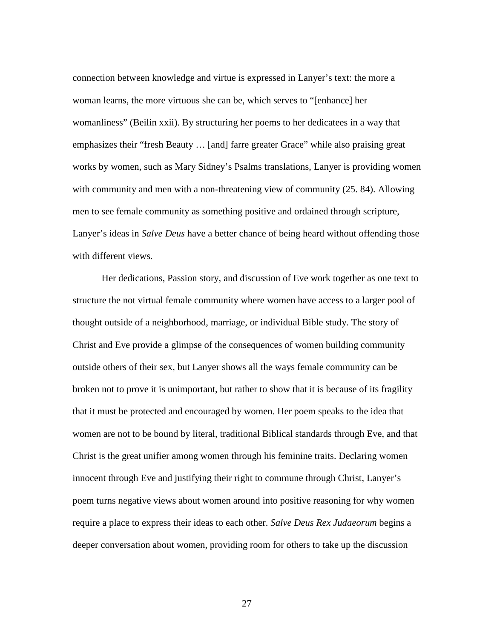connection between knowledge and virtue is expressed in Lanyer's text: the more a woman learns, the more virtuous she can be, which serves to "[enhance] her womanliness" (Beilin xxii). By structuring her poems to her dedicatees in a way that emphasizes their "fresh Beauty … [and] farre greater Grace" while also praising great works by women, such as Mary Sidney's Psalms translations, Lanyer is providing women with community and men with a non-threatening view of community (25. 84). Allowing men to see female community as something positive and ordained through scripture, Lanyer's ideas in *Salve Deus* have a better chance of being heard without offending those with different views.

Her dedications, Passion story, and discussion of Eve work together as one text to structure the not virtual female community where women have access to a larger pool of thought outside of a neighborhood, marriage, or individual Bible study. The story of Christ and Eve provide a glimpse of the consequences of women building community outside others of their sex, but Lanyer shows all the ways female community can be broken not to prove it is unimportant, but rather to show that it is because of its fragility that it must be protected and encouraged by women. Her poem speaks to the idea that women are not to be bound by literal, traditional Biblical standards through Eve, and that Christ is the great unifier among women through his feminine traits. Declaring women innocent through Eve and justifying their right to commune through Christ, Lanyer's poem turns negative views about women around into positive reasoning for why women require a place to express their ideas to each other. *Salve Deus Rex Judaeorum* begins a deeper conversation about women, providing room for others to take up the discussion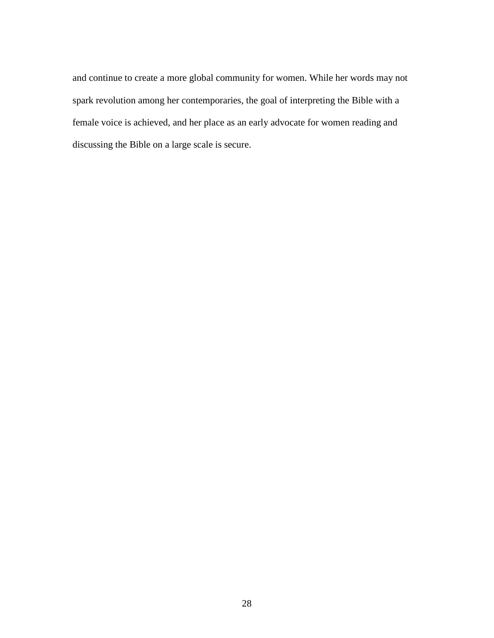and continue to create a more global community for women. While her words may not spark revolution among her contemporaries, the goal of interpreting the Bible with a female voice is achieved, and her place as an early advocate for women reading and discussing the Bible on a large scale is secure.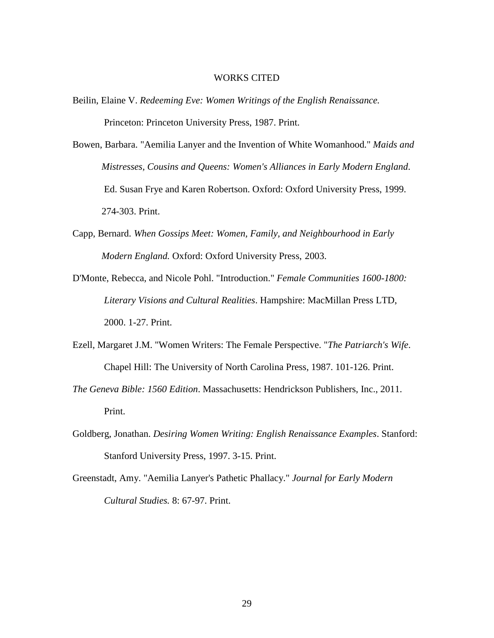#### WORKS CITED

- Beilin, Elaine V. *Redeeming Eve: Women Writings of the English Renaissance.*  Princeton: Princeton University Press, 1987. Print.
- Bowen, Barbara. "Aemilia Lanyer and the Invention of White Womanhood." *Maids and Mistresses, Cousins and Queens: Women's Alliances in Early Modern England*. Ed. Susan Frye and Karen Robertson. Oxford: Oxford University Press, 1999. 274-303. Print.
- Capp, Bernard. *When Gossips Meet: Women, Family, and Neighbourhood in Early Modern England.* Oxford: Oxford University Press, 2003.
- D'Monte, Rebecca, and Nicole Pohl. "Introduction." *Female Communities 1600-1800: Literary Visions and Cultural Realities*. Hampshire: MacMillan Press LTD, 2000. 1-27. Print.
- Ezell, Margaret J.M. "Women Writers: The Female Perspective. "*The Patriarch's Wife*. Chapel Hill: The University of North Carolina Press, 1987. 101-126. Print.
- *The Geneva Bible: 1560 Edition*. Massachusetts: Hendrickson Publishers, Inc., 2011. Print.
- Goldberg, Jonathan. *Desiring Women Writing: English Renaissance Examples*. Stanford: Stanford University Press, 1997. 3-15. Print.
- Greenstadt, Amy. "Aemilia Lanyer's Pathetic Phallacy." *Journal for Early Modern Cultural Studies.* 8: 67-97. Print.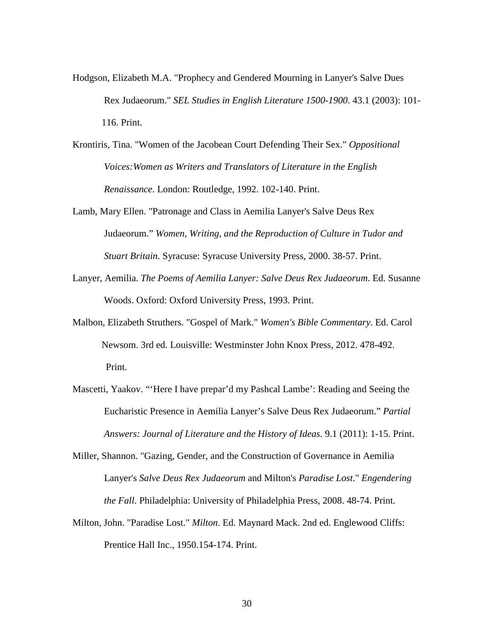- Hodgson, Elizabeth M.A. "Prophecy and Gendered Mourning in Lanyer's Salve Dues Rex Judaeorum." *SEL Studies in English Literature 1500-1900*. 43.1 (2003): 101- 116. Print.
- Krontiris, Tina. "Women of the Jacobean Court Defending Their Sex." *Oppositional Voices:Women as Writers and Translators of Literature in the English Renaissance*. London: Routledge, 1992. 102-140. Print.
- Lamb, Mary Ellen. "Patronage and Class in Aemilia Lanyer's Salve Deus Rex Judaeorum." *Women, Writing, and the Reproduction of Culture in Tudor and Stuart Britain*. Syracuse: Syracuse University Press, 2000. 38-57. Print.
- Lanyer, Aemilia. *The Poems of Aemilia Lanyer: Salve Deus Rex Judaeorum*. Ed. Susanne Woods. Oxford: Oxford University Press, 1993. Print.
- Malbon, Elizabeth Struthers. "Gospel of Mark." *Women's Bible Commentary*. Ed. Carol Newsom. 3rd ed. Louisville: Westminster John Knox Press, 2012. 478-492. Print.
- Mascetti, Yaakov. "'Here I have prepar'd my Pashcal Lambe': Reading and Seeing the Eucharistic Presence in Aemilia Lanyer's Salve Deus Rex Judaeorum." *Partial Answers: Journal of Literature and the History of Ideas.* 9.1 (2011): 1-15. Print.
- Miller, Shannon. "Gazing, Gender, and the Construction of Governance in Aemilia Lanyer's *Salve Deus Rex Judaeorum* and Milton's *Paradise Lost*." *Engendering the Fall*. Philadelphia: University of Philadelphia Press, 2008. 48-74. Print.
- Milton, John. "Paradise Lost." *Milton*. Ed. Maynard Mack. 2nd ed. Englewood Cliffs: Prentice Hall Inc., 1950.154-174. Print.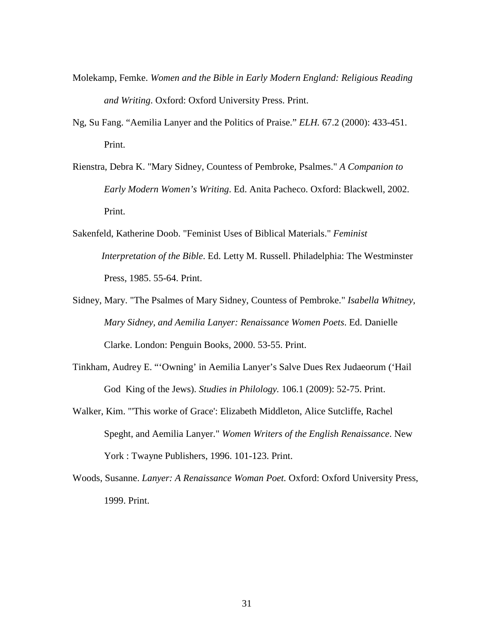- Molekamp, Femke. *Women and the Bible in Early Modern England: Religious Reading and Writing*. Oxford: Oxford University Press. Print.
- Ng, Su Fang. "Aemilia Lanyer and the Politics of Praise." *ELH.* 67.2 (2000): 433-451. Print.
- Rienstra, Debra K. "Mary Sidney, Countess of Pembroke, Psalmes." *A Companion to Early Modern Women's Writing*. Ed. Anita Pacheco. Oxford: Blackwell, 2002. Print.
- Sakenfeld, Katherine Doob. "Feminist Uses of Biblical Materials." *Feminist Interpretation of the Bible*. Ed. Letty M. Russell. Philadelphia: The Westminster Press, 1985. 55-64. Print.
- Sidney, Mary. "The Psalmes of Mary Sidney, Countess of Pembroke." *Isabella Whitney, Mary Sidney, and Aemilia Lanyer: Renaissance Women Poets*. Ed. Danielle Clarke. London: Penguin Books, 2000. 53-55. Print.
- Tinkham, Audrey E. "'Owning' in Aemilia Lanyer's Salve Dues Rex Judaeorum ('Hail God King of the Jews). *Studies in Philology.* 106.1 (2009): 52-75. Print.
- Walker, Kim. "'This worke of Grace': Elizabeth Middleton, Alice Sutcliffe, Rachel Speght, and Aemilia Lanyer." *Women Writers of the English Renaissance*. New York : Twayne Publishers, 1996. 101-123. Print.
- Woods, Susanne. *Lanyer: A Renaissance Woman Poet.* Oxford: Oxford University Press, 1999. Print.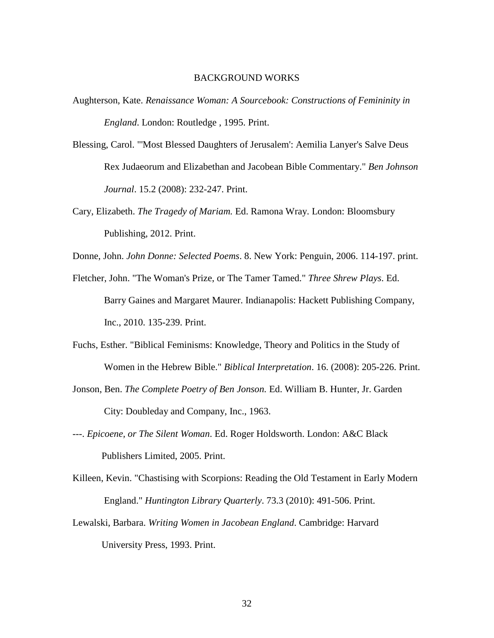#### BACKGROUND WORKS

- Aughterson, Kate. *Renaissance Woman: A Sourcebook: Constructions of Femininity in England*. London: Routledge , 1995. Print.
- Blessing, Carol. "'Most Blessed Daughters of Jerusalem': Aemilia Lanyer's Salve Deus Rex Judaeorum and Elizabethan and Jacobean Bible Commentary." *Ben Johnson Journal*. 15.2 (2008): 232-247. Print.
- Cary, Elizabeth. *The Tragedy of Mariam.* Ed. Ramona Wray. London: Bloomsbury Publishing, 2012. Print.

Donne, John. *John Donne: Selected Poems*. 8. New York: Penguin, 2006. 114-197. print.

- Fletcher, John. "The Woman's Prize, or The Tamer Tamed." *Three Shrew Plays*. Ed. Barry Gaines and Margaret Maurer. Indianapolis: Hackett Publishing Company, Inc., 2010. 135-239. Print.
- Fuchs, Esther. "Biblical Feminisms: Knowledge, Theory and Politics in the Study of Women in the Hebrew Bible." *Biblical Interpretation*. 16. (2008): 205-226. Print.
- Jonson, Ben. *The Complete Poetry of Ben Jonson.* Ed. William B. Hunter, Jr. Garden City: Doubleday and Company, Inc., 1963.
- ---. *Epicoene, or The Silent Woman*. Ed. Roger Holdsworth. London: A&C Black Publishers Limited, 2005. Print.
- Killeen, Kevin. "Chastising with Scorpions: Reading the Old Testament in Early Modern England." *Huntington Library Quarterly*. 73.3 (2010): 491-506. Print.
- Lewalski, Barbara. *Writing Women in Jacobean England*. Cambridge: Harvard University Press, 1993. Print.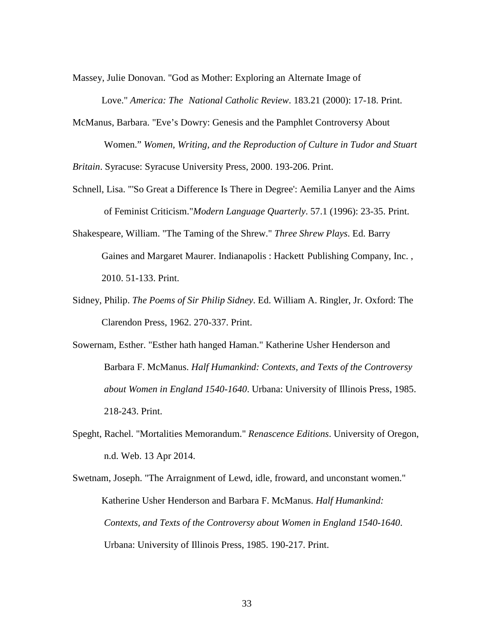Massey, Julie Donovan. "God as Mother: Exploring an Alternate Image of

Love." *America: The National Catholic Review*. 183.21 (2000): 17-18. Print.

McManus, Barbara. "Eve's Dowry: Genesis and the Pamphlet Controversy About Women." *Women, Writing, and the Reproduction of Culture in Tudor and Stuart* 

*Britain*. Syracuse: Syracuse University Press, 2000. 193-206. Print.

- Schnell, Lisa. "'So Great a Difference Is There in Degree': Aemilia Lanyer and the Aims of Feminist Criticism."*Modern Language Quarterly*. 57.1 (1996): 23-35. Print.
- Shakespeare, William. "The Taming of the Shrew." *Three Shrew Plays*. Ed. Barry Gaines and Margaret Maurer. Indianapolis : Hackett Publishing Company, Inc. , 2010. 51-133. Print.
- Sidney, Philip. *The Poems of Sir Philip Sidney*. Ed. William A. Ringler, Jr. Oxford: The Clarendon Press, 1962. 270-337. Print.
- Sowernam, Esther. "Esther hath hanged Haman." Katherine Usher Henderson and Barbara F. McManus. *Half Humankind: Contexts, and Texts of the Controversy about Women in England 1540-1640*. Urbana: University of Illinois Press, 1985. 218-243. Print.
- Speght, Rachel. "Mortalities Memorandum." *Renascence Editions*. University of Oregon, n.d. Web. 13 Apr 2014.
- Swetnam, Joseph. "The Arraignment of Lewd, idle, froward, and unconstant women." Katherine Usher Henderson and Barbara F. McManus. *Half Humankind: Contexts, and Texts of the Controversy about Women in England 1540-1640*. Urbana: University of Illinois Press, 1985. 190-217. Print.